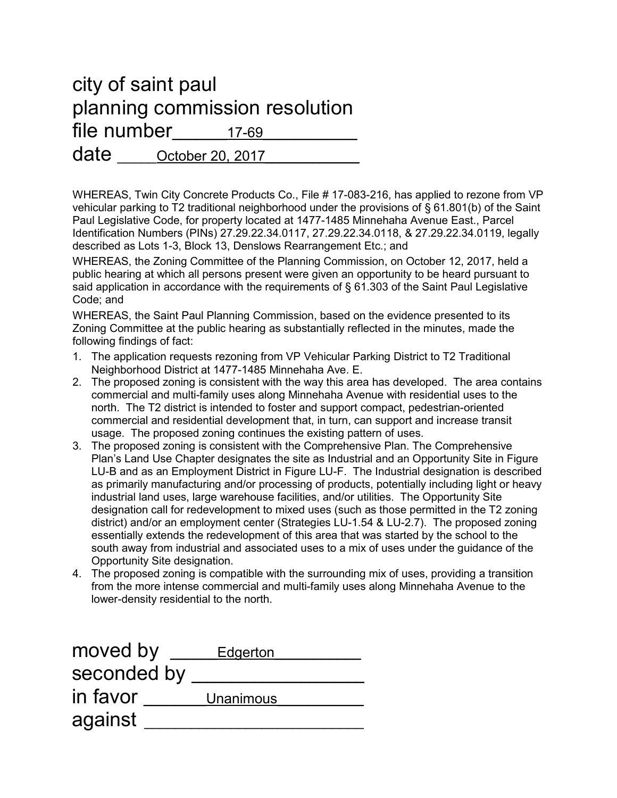## city of saint paul planning commission resolution file number and the set of the set of the set of the set of the set of the set of the set of the set of the set o date <u>October 20, 2017</u>

WHEREAS, Twin City Concrete Products Co., File # 17-083-216, has applied to rezone from VP vehicular parking to T2 traditional neighborhood under the provisions of § 61.801(b) of the Saint Paul Legislative Code, for property located at 1477-1485 Minnehaha Avenue East., Parcel Identification Numbers (PINs) 27.29.22.34.0117, 27.29.22.34.0118, & 27.29.22.34.0119, legally described as Lots 1-3, Block 13, Denslows Rearrangement Etc.; and

WHEREAS, the Zoning Committee of the Planning Commission, on October 12, 2017, held a public hearing at which all persons present were given an opportunity to be heard pursuant to said application in accordance with the requirements of § 61.303 of the Saint Paul Legislative Code; and

WHEREAS, the Saint Paul Planning Commission, based on the evidence presented to its Zoning Committee at the public hearing as substantially reflected in the minutes, made the following findings of fact:

- 1. The application requests rezoning from VP Vehicular Parking District to T2 Traditional Neighborhood District at 1477-1485 Minnehaha Ave. E.
- 2. The proposed zoning is consistent with the way this area has developed. The area contains commercial and multi-family uses along Minnehaha Avenue with residential uses to the north. The T2 district is intended to foster and support compact, pedestrian-oriented commercial and residential development that, in turn, can support and increase transit usage. The proposed zoning continues the existing pattern of uses.
- 3. The proposed zoning is consistent with the Comprehensive Plan. The Comprehensive Plan's Land Use Chapter designates the site as Industrial and an Opportunity Site in Figure LU-B and as an Employment District in Figure LU-F. The Industrial designation is described as primarily manufacturing and/or processing of products, potentially including light or heavy industrial land uses, large warehouse facilities, and/or utilities. The Opportunity Site designation call for redevelopment to mixed uses (such as those permitted in the T2 zoning district) and/or an employment center (Strategies LU-1.54 & LU-2.7). The proposed zoning essentially extends the redevelopment of this area that was started by the school to the south away from industrial and associated uses to a mix of uses under the guidance of the Opportunity Site designation.
- 4. The proposed zoning is compatible with the surrounding mix of uses, providing a transition from the more intense commercial and multi-family uses along Minnehaha Avenue to the lower-density residential to the north.

| moved by    | Edgerton  |
|-------------|-----------|
| seconded by |           |
| in favor    | Unanimous |
| against     |           |